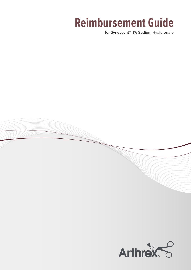# **Reimbursement Guide**

for SynoJoynt™ 1% Sodium Hyaluronate

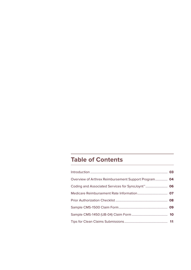# **Table of Contents**

| Overview of Arthrex Reimbursement Support Program 04 |  |
|------------------------------------------------------|--|
|                                                      |  |
|                                                      |  |
|                                                      |  |
|                                                      |  |
|                                                      |  |
|                                                      |  |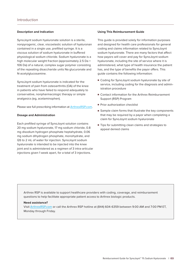## <span id="page-2-0"></span>**Description and Indication**

SynoJoynt sodium hyaluronate solution is a sterile, nonpyrogenic, clear, viscoelastic solution of hyaluronan contained in a single use, prefilled syringe. It is a viscous solution of sodium hyaluronate in buffered physiological sodium chloride. Sodium hyaluronate is a high molecular weight fraction (approximately 2.5 Da × 106 Da) of a natural, complex sugar polymer consisting of the repeating disaccharide units Na glucuronate and N-acetylglucosamine.

SynoJoynt sodium hyaluronate is indicated for the treatment of pain from osteoarthritis (OA) of the knee in patients who have failed to respond adequately to conservative, nonpharmacologic therapy or simple analgesics (eg, acetaminophen).

Please see full prescribing information at [ArthrexRSP.com.](http://www.ArthrexRSP.com)

#### **Dosage and Administration**

Each prefilled syringe of SynoJoynt solution contains 20 mg sodium hyaluronate, 17 mg sodium chloride, 0.8 mg disodium hydrogen phosphate heptahydrate, 0.06 mg sodium dihydrogen phosphate, monohydrate, and QS to 2 mL of water for injection. SynoJoynt sodium hyaluronate is intended to be injected into the knee joint and is administered as a regimen of 3 intra-articular injections given 1 week apart, for a total of 3 injections.

#### **Using This Reimbursement Guide**

This guide is provided solely for information purposes and designed for health care professionals for general coding and claims information related to SynoJoynt sodium hyaluronate. There are many factors that affect how payors will cover and pay for SynoJoynt sodium hyaluronate, including the site of service where it is administered, what type of health insurance the patient has, and the type of benefits the payor offers. This guide contains the following information:

- Coding for SynoJoynt sodium hyaluronate by site of service, including coding for the diagnosis and administration procedure
- Contact information for the Arthrex Reimbursement Support (RSP) Program
- Prior authorization checklist
- Sample claim forms that illustrate the key components that may be required by a payor when completing a claim for SynoJoynt sodium hyaluronate
- Tips for submitting clean claims and strategies to appeal denied claims

Arthrex RSP is available to support healthcare providers with coding, coverage, and reimbursement questions to help facilitate appropriate patient access to Arthrex biologic products.

#### **Need assistance?**

Visit [ArthrexRSP.com](http://www.ArthrexRSP.com) or call the Arthrex RSP hotline at (844) 604-6359 between 9:00 AM and 7:00 PM ET, Monday through Friday.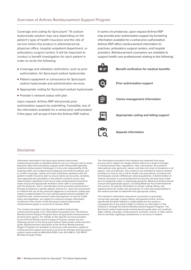<span id="page-3-0"></span>Coverage and coding for SynoJoynt™ 1% sodium hyaluronate solution may vary depending on the patient's type of health insurance and the site of service where the product is administered (ie, physician office, hospital outpatient department, or ambulatory surgical center). It will be important to conduct a benefit investigation for each patient in order to verify the following:

- Coverage and utilization restrictions, such as prior authorization, for SynoJoynt sodium hyaluronate
- Patient copayment or coinsurance for SynoJoynt sodium hyaluronate and administration services
- Appropriate coding for SynoJoynt sodium hyaluronate
- Provider's network status with plan

Upon request, Arthrex RSP will provide prior authorization support by submitting, if possible, any of the information available for a verbal prior authorization if the payor will accept it from the Arthrex RSP hotline.

In some circumstances, upon request Arthrex RSP may provide prior authorization support by furnishing information available for a verbal prior authorization. Arthrex RSP offers reimbursement information to practices, ambulatory surgical centers, and hospital providers. Reimbursement counselors are available to support health care professionals relating to the following:



**Benefit verification for medical benefits**



**Prior authorization support**



**Claims management information**



**Appropriate coding and billing support** 



**Appeals information**

# Disclaimer

Information described in the SynoJoynt sodium hyaluronate reimbursement guide is intended solely for use as a resource tool to assist physician office and ambulatory surgical center billing staff regarding potential reimbursement challenges. It is the sole responsibility of the treating health care professional to diagnose and treat the patient, and to confirm coverage, coding, and claim submission guidance with the patient's health insurance plan to ensure claims are accurate, complete, and supported documentation in the patient's medical record. Any determination regarding if and how to seek reimbursement should be made only by the appropriate members of the staff, in consultation with the physician, and in consideration of the procedure performed or therapy provided to a specific patient. Arthrex Inc. does not recommend or endorse the use of any particular diagnosis or procedure code(s) and makes no determination if or how reimbursement may be available. Of important note, reimbursement codes and payment, as well as health policy and legislation, are subject to continual change; information contained in this version of the SynoJoynt sodium hyaluronate reimbursement guide is current as of January 2022.

The content provided in the SynoJoynt sodium hyaluronate reimbursement guide is for informational purposes only. The Arthrex Reimbursement Support Program does not guarantee reimbursement by third-party payors. For details on the specific services provided by the Arthrex Reimbursement Support Program, please see the following section of the SynoJoynt sodium hyaluronate reimbursement guide. Reimbursement specialists at the Arthrex Reimbursement Support Program are available to assist you with questions related to reimbursement support and access services for therapy with SynoJoynt sodium hyaluronate at (844) 604-6359, from 9:00 AM to 7:00 PM ET Monday through Friday.

The information provided in this handout was obtained from many sources and is subject to change without notice as a result of changes in reimbursement laws, regulations, rules, and policies. All content is informational only, general in nature, and does not cover all situations or all payors' rules and policies. This content is not intended to instruct medical providers on how to use or bill for health care procedures, including new technologies outside of Medicare national guidelines. A determination of medical necessity is a prerequisite that we assume will have been made prior to assigning codes or requesting payments. Medical providers should consult with appropriate payors, including Medicare fiscal intermediaries and carriers, for specific information on proper coding, billing, and payment levels for health care procedures. It is the sole responsibility of the medical provider to determine the appropriate coding.

This handout's information represents no promise or guarantee concerning coverage, coding, billing, and payment levels. Arthrex specifically disclaims liability or responsibility for the results or consequences of any actions taken in reliance on information in this handout or through the Arthrex Reimbursement Support Program. The SynoJoynt sodium hyaluronate reimbursement guide does not constitute legal, coding, coverage, reimbursement, business, clinical, or other advice and no warranty regarding completeness or accuracy is implied.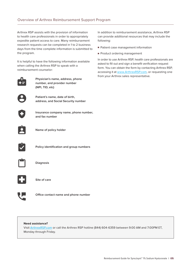# Overview of Arthrex Reimbursement Support Program

Arthrex RSP assists with the provision of information to health care professionals in order to appropriately expedite patient access to care. Many reimbursement research requests can be completed in 1 to 2 business days from the time complete information is submitted to the program.

It is helpful to have the following information available when calling the Arthrex RSP to speak with a reimbursement counselor:



**Physician's name, address, phone number, and provider number (NPI, TID, etc)**



**Patient's name, date of birth, address, and Social Security number**



**Insurance company name, phone number, and fax number**



**Name of policy holder**



**Policy identification and group numbers**



**Diagnosis**



**Site of care**



**Office contact name and phone number**

# **Need assistance?**

Visit [ArthrexRSP.com](http://www.ArthrexRSP.com) or call the Arthrex RSP hotline (844) 604-6359 between 9:00 AM and 7:00PM ET, Monday through Friday.

In addition to reimbursement assistance, Arthrex RSP can provide additional resources that may include the following:

- Patient case management information
- Product ordering management

In order to use Arthrex RSP, health care professionals are asked to fill out and sign a benefit verification request form. You can obtain the form by contacting Arthrex RSP, accessing it at [www.ArthrexRSP.com](http://www.ArthrexRSP.com), or requesting one from your Arthrex sales representative.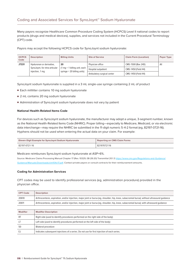<span id="page-5-0"></span>Many payors recognize Healthcare Common Procedure Coding System (HCPCS) Level II national codes to report products (drugs and medical devices), supplies, and services not included in the Current Procedural Terminology (CPT) code.

Payors may accept the following HCPCS code for SynoJoynt sodium hyaluronate:

| <b>HCPCS</b><br>Code | <b>Description</b>             | <b>Billing Units</b>                                                          | <b>Site of Service</b>     | <b>Claim Form (Location)</b> | Payor Type |
|----------------------|--------------------------------|-------------------------------------------------------------------------------|----------------------------|------------------------------|------------|
| J7331                | Hyaluronan or derivative,      | 20                                                                            | Physician office           | CMS-1500 (Box 24D)           | All        |
|                      | SynoJoynt, for intra-articular | $(1 \text{ mg} = 1 \text{ billing unit};$ each<br>syringe = 20 billing units) | Hospital outpatient        | CMS-1450 (Field 44)          |            |
|                      | injection, 1 mg                |                                                                               | Ambulatory surgical center | CMS-1450 (Field 44)          |            |

SynoJoynt sodium hyaluronate is supplied in a 3 mL single-use syringe containing 2 mL of product

- Each milliliter contains 10 mg sodium hyaluronate
- 2 mL contains 20 mg sodium hyaluronate
- Administration of SynoJoynt sodium hyaluronate does not vary by patient

## **National Health-Related Items Code**

For devices such as SynoJoynt sodium hyaluronate, the manufacturer may adopt a unique, 3-segment number, known as the National Health-Related Items Code (NHRIC). Proper billing—especially to Medicare, Medicaid, or via electronic data interchange—may require the NHRIC be submitted in the 11-digit numeric 5-4-2 format (eg, 82197-0721-16). Hyphens should not be used when entering the actual data on your claim. For example:

| <b>Eleven-Digit Example for SynoJoynt Sodium Hyaluronate</b> | <b>Reporting on CMS Claim Forms</b> |
|--------------------------------------------------------------|-------------------------------------|
| 82197-0721-16                                                | 82197072116                         |

Medicare reimburses SynoJoynt sodium hyaluronate at ASP+6%.

Source: Medicare Claims Processing Manual Chapter 17 (Rev. 10329, 08-28-20) Transmittal 20.1.3 [https://www.cms.gov/Regulations-and-Guidance/](https://www.cms.gov/Regulations-and-Guidance/Guidance/Manuals/Downloads/clm104c17.pdf) [Guidance/Manuals/Downloads/clm104c17.pdf](https://www.cms.gov/Regulations-and-Guidance/Guidance/Manuals/Downloads/clm104c17.pdf). Contact private payors or consult contracts for their reimbursement amounts.

#### **Coding for Administration Services**

CPT codes may be used to identify professional services (eg, administration procedure) provided in the physician office.

| <b>CPT Code</b> | <b>Description</b>                                                                                                                           |
|-----------------|----------------------------------------------------------------------------------------------------------------------------------------------|
| 20610           | Arthrocentesis, aspiration, and/or injection, major joint or bursa (eq, shoulder, hip, knee, subacromial bursa); without ultrasound quidance |
| 20611           | Arthrocentesis, aspiration, and/or injection, major joint or bursa (eq, shoulder, hip, knee, subacromial bursa); with ultrasound quidance    |

| <b>Modifier</b> | <b>Modifier Description</b>                                                                 |
|-----------------|---------------------------------------------------------------------------------------------|
| RT              | Right side (used to identify procedures performed on the right side of the body)            |
|                 | Left side (used to identify procedures performed on the left side of the body)              |
| 50              | Bilateral procedure                                                                         |
|                 | Indicates subsequent injections of a series. Do not use for first injection of each series. |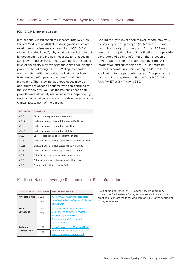## <span id="page-6-0"></span>**ICD-10-CM Diagnosis Codes**

International Classification of Diseases, 10th Revision, Clinical Modification (ICD-10-CM) diagnosis codes are used to report diseases and conditions. ICD-10-CM diagnosis codes identify why a patient needs treatment by documenting the medical necessity for prescribing SynoJoynt™ sodium hyaluronate. Coding to the highest level of specificity may expedite the claims adjudication process. The following ICD-10-CM diagnosis codes are consistent with the product indications. Arthrex RSP does not offer product support for off-label indications. The following diagnosis codes may be appropriate to describe patients with osteoarthritis of the knee; however, you—as the patient's health care provider—are ultimately responsible for independently determining what code(s) are appropriate based on your clinical assessment of the patient:

| <b>ICD-10-CM</b>  | <b>Description</b>                                         |
|-------------------|------------------------------------------------------------|
| M <sub>17.0</sub> | Bilateral primary osteoarthritis of knee                   |
| M17.10            | Unilateral primary osteoarthritis, unspecified knee        |
| M17.11            | Unilateral primary osteoarthritis, right knee              |
| M17.12            | Unilateral primary osteoarthritis, left knee               |
| M <sub>17.2</sub> | Bilateral post-traumatic osteoarthritis of knee            |
| M17.30            | Unilateral post-traumatic osteoarthritis, unspecified knee |
| M17.31            | Unilateral post-traumatic osteoarthritis, right knee       |
| M17.32            | Unilateral post-traumatic osteoarthritis, left knee        |
| M17.4             | Other bilateral secondary osteoarthritis of knee           |
| M17.5             | Other unilateral secondary osteoarthritis of knee          |
| M <sub>17.9</sub> | Osteoarthritis of knee, unspecified                        |

Coding for SynoJoynt sodium hyaluronate may vary by payor type and plan type (ie, Medicare, private payor, Medicaid). Upon request, Arthrex RSP may conduct appropriate benefit verifications that provide coverage and coding information that is specific to your patient's health insurance coverage. All information and submissions to CoPilot must be truthful, accurate, non-misleading, and/or of known application to the particular patient. The program is available Monday through Friday from 9:00 AM to 7:00 PM ET at (844) 604-6359.

# Medicare National Average Reimbursement Rate Information\*

| <b>Site of Service</b>  | <b>CPT Code</b> | <b>Website for Look-up</b>                                                                                |
|-------------------------|-----------------|-----------------------------------------------------------------------------------------------------------|
| <b>Physician Office</b> | 20610           | https://www.cms.gov/Medicare/Medi-                                                                        |
|                         | 20611           | care-Fee-for-Service-Payment/PFSlook-<br>up/index.html                                                    |
| <b>Hospital</b>         | 20610           | https://www.cms.gov/Medicare/                                                                             |
| <b>Outpatient</b>       | 20611           | Medicare-Fee-for-Service-Payment/<br>HospitalOutpatientPPS/<br>Addendum-A-and-Addendum-B-<br>Updates.html |
| <b>Ambulatory</b>       | 20610           | https://www.cms.gov/Medicare/Medi-                                                                        |
| <b>Surgical Center</b>  | 20611           | care-Fee-for-Service-Payment/ASCPay-<br>ment/11_Addenda_Updates.html                                      |

\*Reimbursement rates for CPT codes vary by geography; consult the CMS website for regional rates applicable to the practice or contact the local Medicare administrative contractor for regional rates.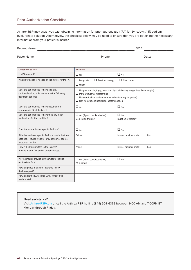# <span id="page-7-0"></span>Prior Authorization Checklist

Arthrex RSP may assist you with obtaining information for prior authorization (PA) for SynoJoynt<sup>™</sup> 1% sodium hyaluronate solution. Alternatively, the checklist below may be used to ensure that you are obtaining the necessary information from your patient's insurer.

| Patient Name:                                                                                                                       |                                                                                                                                                                                                                                                          | DOB:                              |       |  |  |  |
|-------------------------------------------------------------------------------------------------------------------------------------|----------------------------------------------------------------------------------------------------------------------------------------------------------------------------------------------------------------------------------------------------------|-----------------------------------|-------|--|--|--|
| Payor Name:                                                                                                                         | Phone:                                                                                                                                                                                                                                                   |                                   | Date: |  |  |  |
|                                                                                                                                     |                                                                                                                                                                                                                                                          |                                   |       |  |  |  |
| Questions to Ask                                                                                                                    | <b>Answers</b>                                                                                                                                                                                                                                           |                                   |       |  |  |  |
| Is a PA required?                                                                                                                   | $\Box$ Yes                                                                                                                                                                                                                                               | $\Box$ No                         |       |  |  |  |
| What information is needed by the insurer for the PA?                                                                               | $\Box$ Previous therapy<br>$\Box$ Diagnosis<br>$\Box$ Other:                                                                                                                                                                                             | $\Box$ Chart notes                |       |  |  |  |
| Does the patient need to have a failure,<br>contraindication, or intolerance to the following<br>treatment options?                 | $\Box$ Nonpharmacologic (eg, exercise, physical therapy, weight loss if overweight)<br>$\Box$ Intra-articular corticosteroids<br>$\Box$ Nonsteroidal anti-inflammatory medications (eg, ibuprofen)<br>$\Box$ Non-narcotic analgesics (eg, acetaminophen) |                                   |       |  |  |  |
| Does the patient need to have documented<br>symptomatic OA of the knee?                                                             | $\Box$ Yes                                                                                                                                                                                                                                               | $\Box$ No                         |       |  |  |  |
| Does the patient need to have tried any other<br>medications for the condition?                                                     | $\Box$ Yes (if yes, complete below)<br>Medication/therapy:                                                                                                                                                                                               | $\Box$ No<br>Duration of therapy: |       |  |  |  |
| Does the insurer have a specific PA form?                                                                                           | $\Box$ Yes                                                                                                                                                                                                                                               | $\Box$ No                         |       |  |  |  |
| If the insurer has a specific PA form, how is the form<br>obtained? Provide website, provider portal address,<br>and/or fax number. | Online:                                                                                                                                                                                                                                                  | Insurer provider portal:          | Fax:  |  |  |  |
| How is the PA submitted to the insurer?<br>Provide phone, fax, and/or portal address.                                               | Phone:                                                                                                                                                                                                                                                   | Insurer provider portal:          | Fax:  |  |  |  |
| Will the insurer provide a PA number to include<br>on the claim form?                                                               | $\Box$ Yes (if yes, complete below)<br>PA number:                                                                                                                                                                                                        | $\Box$ No                         |       |  |  |  |
| How long does it take the insurer to review<br>the PA request?                                                                      |                                                                                                                                                                                                                                                          |                                   |       |  |  |  |
| How long is the PA valid for SynoJoynt sodium<br>hyaluronate?                                                                       |                                                                                                                                                                                                                                                          |                                   |       |  |  |  |

#### **Need assistance?**

Visit [ArthrexRSP.com](http://www.ArthrexRSP.com) or call the Arthrex RSP hotline (844) 604-6359 between 9:00 AM and 7:00PM ET, Monday through Friday.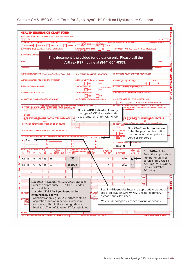<span id="page-8-0"></span>

| <b>HEALTH INSURANCE CLAIM FORM</b><br>APPROVED BY NATIONAL UNIFORM CLAIM COMMITTEE (NUCC) 02/12<br><b>PICA</b><br><b>PICA</b><br><b>MEDICAID</b><br><b>CHAMPVA</b><br>OTHER 1a. INSURED'S I.D. NUMBER<br><b>MEDICARE</b><br><b>TRICARE</b><br>GROUP<br>HEALTH PLAN<br>(ID#)<br>1.<br>FECA<br>BLK LUNG<br>(ID#)<br>(For Program in Item 1)<br>(Medicaid#)<br>(ID#/DoD#)<br>(Member ID#)<br>(ID#)<br>(Medicare#)<br>2. PATIENT'S NAME (Last Name, First Name, Middle Initial)<br>3. PATIENT'S BIRTH DATE<br><b>SEX</b><br>4. INSURED'S NAME (Last Name, First Name, Middle Initial)<br><b>5. PATIENT'S ADDRES</b><br>This document is provided for guidance only. Please call the<br><b>CITY</b><br><b>STATE</b><br>Arthrex RSP hotline at (844) 604-6359.<br><b>ZIP CODE</b><br>e Area Code)<br>10. IS PATIENT'S CONDITION RELATED TO:<br>11. INSURED'S POLICY GROUP OR FECA NUMBER<br>9. OTHER INSURED'S NAME (Last Name, First Name, Middle Initial)<br><b>AND INSURED</b><br>a. OTHER INSURED'S POLICY OR GROUP NUMBER<br>a. EMPLOYMENT? (Current or Previous)<br>a. INSURED'S DATE OF BIRTH<br><b>SEX</b><br><b>MM</b><br>םם<br>ΕI<br>M<br><b>NO</b><br>YES<br><b>b. RESERVED FOR NUCC USE</b><br><b>b. AUTO ACCIDENT?</b><br>b. OTHER CLAIM ID (Designated by NUCC)<br><b>PLACE</b> (State) |
|-------------------------------------------------------------------------------------------------------------------------------------------------------------------------------------------------------------------------------------------------------------------------------------------------------------------------------------------------------------------------------------------------------------------------------------------------------------------------------------------------------------------------------------------------------------------------------------------------------------------------------------------------------------------------------------------------------------------------------------------------------------------------------------------------------------------------------------------------------------------------------------------------------------------------------------------------------------------------------------------------------------------------------------------------------------------------------------------------------------------------------------------------------------------------------------------------------------------------------------------------------------------------------------------------|
|                                                                                                                                                                                                                                                                                                                                                                                                                                                                                                                                                                                                                                                                                                                                                                                                                                                                                                                                                                                                                                                                                                                                                                                                                                                                                                 |
|                                                                                                                                                                                                                                                                                                                                                                                                                                                                                                                                                                                                                                                                                                                                                                                                                                                                                                                                                                                                                                                                                                                                                                                                                                                                                                 |
|                                                                                                                                                                                                                                                                                                                                                                                                                                                                                                                                                                                                                                                                                                                                                                                                                                                                                                                                                                                                                                                                                                                                                                                                                                                                                                 |
|                                                                                                                                                                                                                                                                                                                                                                                                                                                                                                                                                                                                                                                                                                                                                                                                                                                                                                                                                                                                                                                                                                                                                                                                                                                                                                 |
|                                                                                                                                                                                                                                                                                                                                                                                                                                                                                                                                                                                                                                                                                                                                                                                                                                                                                                                                                                                                                                                                                                                                                                                                                                                                                                 |
|                                                                                                                                                                                                                                                                                                                                                                                                                                                                                                                                                                                                                                                                                                                                                                                                                                                                                                                                                                                                                                                                                                                                                                                                                                                                                                 |
|                                                                                                                                                                                                                                                                                                                                                                                                                                                                                                                                                                                                                                                                                                                                                                                                                                                                                                                                                                                                                                                                                                                                                                                                                                                                                                 |
|                                                                                                                                                                                                                                                                                                                                                                                                                                                                                                                                                                                                                                                                                                                                                                                                                                                                                                                                                                                                                                                                                                                                                                                                                                                                                                 |
|                                                                                                                                                                                                                                                                                                                                                                                                                                                                                                                                                                                                                                                                                                                                                                                                                                                                                                                                                                                                                                                                                                                                                                                                                                                                                                 |
|                                                                                                                                                                                                                                                                                                                                                                                                                                                                                                                                                                                                                                                                                                                                                                                                                                                                                                                                                                                                                                                                                                                                                                                                                                                                                                 |
|                                                                                                                                                                                                                                                                                                                                                                                                                                                                                                                                                                                                                                                                                                                                                                                                                                                                                                                                                                                                                                                                                                                                                                                                                                                                                                 |
|                                                                                                                                                                                                                                                                                                                                                                                                                                                                                                                                                                                                                                                                                                                                                                                                                                                                                                                                                                                                                                                                                                                                                                                                                                                                                                 |
|                                                                                                                                                                                                                                                                                                                                                                                                                                                                                                                                                                                                                                                                                                                                                                                                                                                                                                                                                                                                                                                                                                                                                                                                                                                                                                 |
|                                                                                                                                                                                                                                                                                                                                                                                                                                                                                                                                                                                                                                                                                                                                                                                                                                                                                                                                                                                                                                                                                                                                                                                                                                                                                                 |
| NO<br><b>YES</b><br>c. RESERVED FOR NUCC USE<br>c. OTHER ACCIDENT?<br>c. INSURANCE PLAN NAME OR PROGRAM NAME                                                                                                                                                                                                                                                                                                                                                                                                                                                                                                                                                                                                                                                                                                                                                                                                                                                                                                                                                                                                                                                                                                                                                                                    |
| NO<br>YES                                                                                                                                                                                                                                                                                                                                                                                                                                                                                                                                                                                                                                                                                                                                                                                                                                                                                                                                                                                                                                                                                                                                                                                                                                                                                       |
| d. INSURANCE PLAN NAME OR PROGRAM NAME<br>10d. CLAIM CODES (Designated by NUCC)<br>d. IS THERE ANOTHER HEALTH BENEFIT PLAN?                                                                                                                                                                                                                                                                                                                                                                                                                                                                                                                                                                                                                                                                                                                                                                                                                                                                                                                                                                                                                                                                                                                                                                     |
| YES<br><b>NO</b><br>If yes, complete items 9, 9a, and 9d.                                                                                                                                                                                                                                                                                                                                                                                                                                                                                                                                                                                                                                                                                                                                                                                                                                                                                                                                                                                                                                                                                                                                                                                                                                       |
| READ BACK OF FORM BEFORE COMPLETING & SIGNING THIS FORM.<br>13. INSURED'S OR AUTHORIZED PERSON'S SIGNATURE I authorize<br>12. PATIENT'S OR AUTHORIZED PERSON'S SIGNATURE I authorize the n<br>medical benefits to the undersigned physician or supplier for<br>to process this claim. I also request payment of government benefits either t<br>scribed below.                                                                                                                                                                                                                                                                                                                                                                                                                                                                                                                                                                                                                                                                                                                                                                                                                                                                                                                                  |
| Box 21-ICD Indicator: Identify<br>below.<br>the type of ICD diagnosis code                                                                                                                                                                                                                                                                                                                                                                                                                                                                                                                                                                                                                                                                                                                                                                                                                                                                                                                                                                                                                                                                                                                                                                                                                      |
| <b>SIGNED</b><br>used (enter a "0" for ICD-10-CM)                                                                                                                                                                                                                                                                                                                                                                                                                                                                                                                                                                                                                                                                                                                                                                                                                                                                                                                                                                                                                                                                                                                                                                                                                                               |
| 15. C<br>14. DATE OF CURRENT ILLNESS, INJURY, or PREGNANCY (LMP)<br><b>THENT UNABLE TO WORK IN CURRENT OCCUPATION</b><br>M + DD + YY<br>QU/<br>TO<br><b>QUAL</b>                                                                                                                                                                                                                                                                                                                                                                                                                                                                                                                                                                                                                                                                                                                                                                                                                                                                                                                                                                                                                                                                                                                                |
| 18. HOSPITALIZATION DATES RELATED TO CURRENT SERV<br>17. NAME OF REFERRING PROVIDER OR OTHER SOURCE<br>17a.                                                                                                                                                                                                                                                                                                                                                                                                                                                                                                                                                                                                                                                                                                                                                                                                                                                                                                                                                                                                                                                                                                                                                                                     |
| 17b.<br><b>FROM</b><br><b>NP</b><br><b>Box 23-Prior Authorization:</b>                                                                                                                                                                                                                                                                                                                                                                                                                                                                                                                                                                                                                                                                                                                                                                                                                                                                                                                                                                                                                                                                                                                                                                                                                          |
| 19. ADDITIONAL CLAIM INFORMATION (Designated by NUCC)<br>20. OUTSIDE LA<br>Enter the payor authorization<br>  YES                                                                                                                                                                                                                                                                                                                                                                                                                                                                                                                                                                                                                                                                                                                                                                                                                                                                                                                                                                                                                                                                                                                                                                               |
| number as obtained prior to<br>21. DIAGNOSIS OR NATURE OF ILLNESS OR INJURY Relate A-L to service line below (24E)<br>22. RESUBMISS<br>ICD Ind.<br>n<br>services rendered                                                                                                                                                                                                                                                                                                                                                                                                                                                                                                                                                                                                                                                                                                                                                                                                                                                                                                                                                                                                                                                                                                                       |
| M1 7.12<br>A.<br>C.<br>D.<br><b>23. PRIOR AUTHORIZA</b><br><b>ION NUMBER</b>                                                                                                                                                                                                                                                                                                                                                                                                                                                                                                                                                                                                                                                                                                                                                                                                                                                                                                                                                                                                                                                                                                                                                                                                                    |
| Е.<br>G.<br>F.<br>XXXXXX<br>Κ.                                                                                                                                                                                                                                                                                                                                                                                                                                                                                                                                                                                                                                                                                                                                                                                                                                                                                                                                                                                                                                                                                                                                                                                                                                                                  |
| 24. A.<br><b>B.</b><br><b>D. PROCEDURES, SERVICI</b><br><b>OR SUPPLIES</b><br>Е.<br><b>DATE(S) OF SERVICE</b><br>C.<br>F.<br>EPSÖ<br><b>PLACE OI</b>                                                                                                                                                                                                                                                                                                                                                                                                                                                                                                                                                                                                                                                                                                                                                                                                                                                                                                                                                                                                                                                                                                                                            |
| G.<br>DAYS<br>UNITS<br>Box 24G-Units:<br><b>DIAGNOSIS</b><br>(Explain Unusual Circums<br>From<br>To<br>ces)<br>Famil<br>Plan<br><b>DD</b><br>YY<br><b>SERVICE</b><br><b>EMG</b><br><b>CPT/HCPCS</b><br><b>POINTER</b><br><b>MM</b><br><b>DD</b><br><b>MM</b><br>\$ CHARGES<br>M<br>ᆌ리<br>Enter the appropriate                                                                                                                                                                                                                                                                                                                                                                                                                                                                                                                                                                                                                                                                                                                                                                                                                                                                                                                                                                                  |
| 1<br>number of units of<br>J7331<br>20<br>DD<br>YY<br>МM<br>DD<br>YY<br>XX XX<br>МM<br>-11<br>A                                                                                                                                                                                                                                                                                                                                                                                                                                                                                                                                                                                                                                                                                                                                                                                                                                                                                                                                                                                                                                                                                                                                                                                                 |
| service (eg, J7331 is<br>2                                                                                                                                                                                                                                                                                                                                                                                                                                                                                                                                                                                                                                                                                                                                                                                                                                                                                                                                                                                                                                                                                                                                                                                                                                                                      |
| per 1 mg, for a syringe<br>20610-LT<br>YY<br>МM<br>YY<br><b>XX XX</b><br>1<br>$MM \mid DD$<br>DD<br>$\overline{11}$<br>of SYNOJOYNT,                                                                                                                                                                                                                                                                                                                                                                                                                                                                                                                                                                                                                                                                                                                                                                                                                                                                                                                                                                                                                                                                                                                                                            |
| 3<br>20 units)                                                                                                                                                                                                                                                                                                                                                                                                                                                                                                                                                                                                                                                                                                                                                                                                                                                                                                                                                                                                                                                                                                                                                                                                                                                                                  |
| 4                                                                                                                                                                                                                                                                                                                                                                                                                                                                                                                                                                                                                                                                                                                                                                                                                                                                                                                                                                                                                                                                                                                                                                                                                                                                                               |
| <b>NPI</b>                                                                                                                                                                                                                                                                                                                                                                                                                                                                                                                                                                                                                                                                                                                                                                                                                                                                                                                                                                                                                                                                                                                                                                                                                                                                                      |
| <b>Box 24D-Procedures/Services/Supplies:</b><br>5<br><b>NPI</b>                                                                                                                                                                                                                                                                                                                                                                                                                                                                                                                                                                                                                                                                                                                                                                                                                                                                                                                                                                                                                                                                                                                                                                                                                                 |
| Enter the appropriate CPT/HCPCS codes<br>and modifiers<br>6                                                                                                                                                                                                                                                                                                                                                                                                                                                                                                                                                                                                                                                                                                                                                                                                                                                                                                                                                                                                                                                                                                                                                                                                                                     |
| <b>Box 21-Diagnosis:</b> Enter the appropriate diagnosis<br>- J code: J7331 for SynoJoynt sodium<br>code (eg, ICD-10-CM: M17.12, unilateral primary<br><b>25. FEDEI</b>                                                                                                                                                                                                                                                                                                                                                                                                                                                                                                                                                                                                                                                                                                                                                                                                                                                                                                                                                                                                                                                                                                                         |
| 27. ACCE<br>hyaluronate, per mg<br>osteoarthritis, left knee)<br><b>YES</b>                                                                                                                                                                                                                                                                                                                                                                                                                                                                                                                                                                                                                                                                                                                                                                                                                                                                                                                                                                                                                                                                                                                                                                                                                     |
| - Administration: eg, 20610, arthrocentesis,<br>ORMATIC<br>31. SIGNA<br>aspiration, and/or injection, major joint<br>Note: Other diagnosis codes may be applicable<br><b>INCLUD</b>                                                                                                                                                                                                                                                                                                                                                                                                                                                                                                                                                                                                                                                                                                                                                                                                                                                                                                                                                                                                                                                                                                             |
| (I certify<br>or bursa, without ultrasound guidance<br>apply to                                                                                                                                                                                                                                                                                                                                                                                                                                                                                                                                                                                                                                                                                                                                                                                                                                                                                                                                                                                                                                                                                                                                                                                                                                 |
| - Modifier: LT for left knee or RT for right knee                                                                                                                                                                                                                                                                                                                                                                                                                                                                                                                                                                                                                                                                                                                                                                                                                                                                                                                                                                                                                                                                                                                                                                                                                                               |
| a.<br><b>DATE</b><br><b>SIGNED</b>                                                                                                                                                                                                                                                                                                                                                                                                                                                                                                                                                                                                                                                                                                                                                                                                                                                                                                                                                                                                                                                                                                                                                                                                                                                              |
| NUCC Instruction Manual available at: www.nucc.org<br><b>PLEASE PRINT OR TYPE</b><br><b>OMB APPROVAL PENDING</b>                                                                                                                                                                                                                                                                                                                                                                                                                                                                                                                                                                                                                                                                                                                                                                                                                                                                                                                                                                                                                                                                                                                                                                                |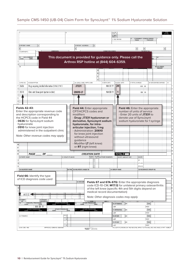# <span id="page-9-0"></span>Sample CMS-1450 (UB-04) Claim Form for SynoJoynt<sup>™</sup> 1% Sodium Hyaluronate Solution

|                                                                                                                                                                                                                                                                                               |                              |                                                                                                                                                                                                                                                                                 |                               |                                                                                                                                   | 3a PAT<br>CNTL#<br>b. MED.<br>REC. # |                                                                                       |                  |                              |                                                                                  | OF BILL               |
|-----------------------------------------------------------------------------------------------------------------------------------------------------------------------------------------------------------------------------------------------------------------------------------------------|------------------------------|---------------------------------------------------------------------------------------------------------------------------------------------------------------------------------------------------------------------------------------------------------------------------------|-------------------------------|-----------------------------------------------------------------------------------------------------------------------------------|--------------------------------------|---------------------------------------------------------------------------------------|------------------|------------------------------|----------------------------------------------------------------------------------|-----------------------|
|                                                                                                                                                                                                                                                                                               |                              |                                                                                                                                                                                                                                                                                 |                               |                                                                                                                                   | 5 FED. TAX NO.                       |                                                                                       | <b>FROM</b>      | STATEMENT COVERS PERIOD      | <b>THROUGH</b>                                                                   |                       |
| 8 PATIENT NAME                                                                                                                                                                                                                                                                                |                              | 9 PATIENT ADDRESS                                                                                                                                                                                                                                                               |                               |                                                                                                                                   |                                      |                                                                                       |                  |                              |                                                                                  |                       |
| <b>ADMISSION</b><br>10 BIRTHDATE<br>11 SF                                                                                                                                                                                                                                                     |                              |                                                                                                                                                                                                                                                                                 |                               |                                                                                                                                   | <b>CONDITION CODES</b>               |                                                                                       |                  | $29$ ACDT 30                 |                                                                                  |                       |
| OCCURRENCE<br>$31$ CODE<br>DATE<br>38                                                                                                                                                                                                                                                         |                              | This document is provided for guidance only. Please call the<br>Arthrex RSP hotline at (844) 604-6359.                                                                                                                                                                          |                               |                                                                                                                                   |                                      |                                                                                       |                  |                              | 37                                                                               | VALUE CODES<br>AMOUNT |
|                                                                                                                                                                                                                                                                                               |                              |                                                                                                                                                                                                                                                                                 |                               |                                                                                                                                   |                                      |                                                                                       |                  |                              |                                                                                  |                       |
| 42 REV. CD.<br>43 DESCRIPTION<br>0636<br>Drugs requiring detailed information (SYNOJOYNT)                                                                                                                                                                                                     |                              | 44 HCPCS / RATE / HIPPS CODE<br>J7331                                                                                                                                                                                                                                           |                               | 45 SERV, DATE                                                                                                                     | 20<br>MM DD YY                       | 46 SERV. UNITS                                                                        | 47 TOTAL CHARGES | XXX : XX                     | 48 NON-COVERED CHARGES                                                           | 49                    |
| 0510<br>Clinic visit (knee joint injection in clinic)                                                                                                                                                                                                                                         |                              | 20610-LT                                                                                                                                                                                                                                                                        |                               |                                                                                                                                   | MM DD YY<br>1                        |                                                                                       |                  | XXX XX                       |                                                                                  |                       |
|                                                                                                                                                                                                                                                                                               |                              |                                                                                                                                                                                                                                                                                 |                               |                                                                                                                                   |                                      |                                                                                       |                  |                              |                                                                                  |                       |
| <b>Fields 42-43:</b><br>Enter the appropriate revenue code<br>and description corresponding to<br>the HCPCS code in Field 44<br>- 0636 for SynoJoynt sodium<br>hyaluronate<br>- 0510 for knee joint injection<br>administered in the outpatient clinic<br>Note: Other revenue codes may apply |                              | Field 44: Enter appropriate<br>CPT/HCPCS codes and<br>modifiers<br>- Drug: J7331 hyaluronan or<br>derivative, SynoJoynt sodium<br>hyaluronate, for intra-<br>articular injection, 1 mg<br>- Administration: 20610<br>for knee joint injection<br>without ultrasound<br>quidance |                               |                                                                                                                                   |                                      | number of units of service<br>- Enter 20 units of J7331 to<br>denote use of SynoJoynt |                  |                              | Field 46: Enter the appropriate<br>sodium hyaluronate for 1 syringe              |                       |
|                                                                                                                                                                                                                                                                                               |                              | - Modifier LT (left knee)<br>or RT (right knee)                                                                                                                                                                                                                                 |                               |                                                                                                                                   |                                      |                                                                                       |                  |                              |                                                                                  |                       |
| <b>PAGE</b><br>ΟF                                                                                                                                                                                                                                                                             |                              |                                                                                                                                                                                                                                                                                 | <b>CREATION DATE</b><br>2 REL |                                                                                                                                   |                                      | <b>TOTALS</b>                                                                         |                  |                              |                                                                                  |                       |
| 50 PAYER NAME                                                                                                                                                                                                                                                                                 | 51 HEALTH PLAN ID            |                                                                                                                                                                                                                                                                                 | <b>INFO</b>                   | 53 ASG 54 PRIOR PAYMENTS<br><b>BEN</b>                                                                                            |                                      | 55 EST. AMOUNT DUE                                                                    |                  | <b>56 NPI</b><br>57<br>OTHER |                                                                                  |                       |
| 58 INSURED'S NAME                                                                                                                                                                                                                                                                             |                              |                                                                                                                                                                                                                                                                                 |                               |                                                                                                                                   |                                      |                                                                                       |                  | PRV ID                       |                                                                                  |                       |
|                                                                                                                                                                                                                                                                                               |                              | 59 P.REL 60 INSURED'S UNIQUE ID<br>64 DOCUME                                                                                                                                                                                                                                    |                               |                                                                                                                                   | 61 GROUP NAME                        |                                                                                       |                  |                              | 62 INSURANCE GROUP NO.<br>Fields 67 and 67A-67Q: Enter the appropriate diagnosis |                       |
| $M17.12 \triangleleft$                                                                                                                                                                                                                                                                        |                              |                                                                                                                                                                                                                                                                                 |                               | of the left knee (specific 4th and 5th digits depend on<br>medical record documentation)<br>Note: Other diagnosis codes may apply |                                      |                                                                                       |                  |                              | code ICD-10-CM; M17.12 for unilateral primary osteoarthritis                     |                       |
| 70 PATIENT<br><b>REASON DX</b><br>DX<br>PRINCIPAL PROCEDURE<br>CODE DATE<br>74                                                                                                                                                                                                                | OTHER PROCEDURE<br>CODE DATE | b.                                                                                                                                                                                                                                                                              | OTHER PROCEDURE<br>CODE DATE  |                                                                                                                                   | <b>76 ATTENDING</b>                  | NPI                                                                                   |                  |                              | QUAL                                                                             |                       |
| MM DD YY<br>OTHER PROCEDURE<br>DATE<br>d.                                                                                                                                                                                                                                                     | OTHER PROCEDURE<br>CODE DATE |                                                                                                                                                                                                                                                                                 | OTHER PROCEDURE<br>CODE DATE  |                                                                                                                                   | LAST<br>77 OPERATING                 | NPI                                                                                   |                  |                              | <b>FIRST</b><br>QUAL                                                             |                       |
| m<br>80 REMARKS                                                                                                                                                                                                                                                                               | 81CC<br>$\mathbf{a}$         |                                                                                                                                                                                                                                                                                 |                               |                                                                                                                                   | LAST<br>78 OTHER                     | NPI                                                                                   |                  |                              | <b>FIRST</b><br>QUAL                                                             |                       |
| Field 66: Identify the type<br>of ICD diagnosis code used<br>69 ADMIT                                                                                                                                                                                                                         | $\mathsf b$<br>$_{\rm c}$    |                                                                                                                                                                                                                                                                                 |                               |                                                                                                                                   | LAST<br>79 OTHER                     | NPI                                                                                   |                  |                              | <b>FIRST</b><br>QUAL                                                             |                       |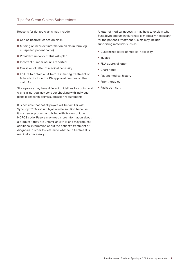<span id="page-10-0"></span>Reasons for denied claims may include:

- Use of incorrect codes on claim
- Missing or incorrect information on claim form (eg, misspelled patient name)
- Provider's network status with plan
- Incorrect number of units reported
- Omission of letter of medical necessity
- Failure to obtain a PA before initiating treatment or failure to include the PA approval number on the claim form

Since payors may have different guidelines for coding and claims filing, you may consider checking with individual plans to research claims submission requirements.

It is possible that not all payors will be familiar with SynoJoynt<sup>™</sup> 1% sodium hyaluronate solution because it is a newer product and billed with its own unique HCPCS code. Payors may need more information about a product if they are unfamiliar with it, and may request additional information about the patient's treatment or diagnosis in order to determine whether a treatment is medically necessary.

A letter of medical necessity may help to explain why SynoJoynt sodium hyaluronate is medically necessary for the patient's treatment. Claims may include supporting materials such as:

- Customized letter of medical necessity
- Invoice
- FDA approval letter
- Chart notes
- Patient medical history
- Prior therapies
- Package insert